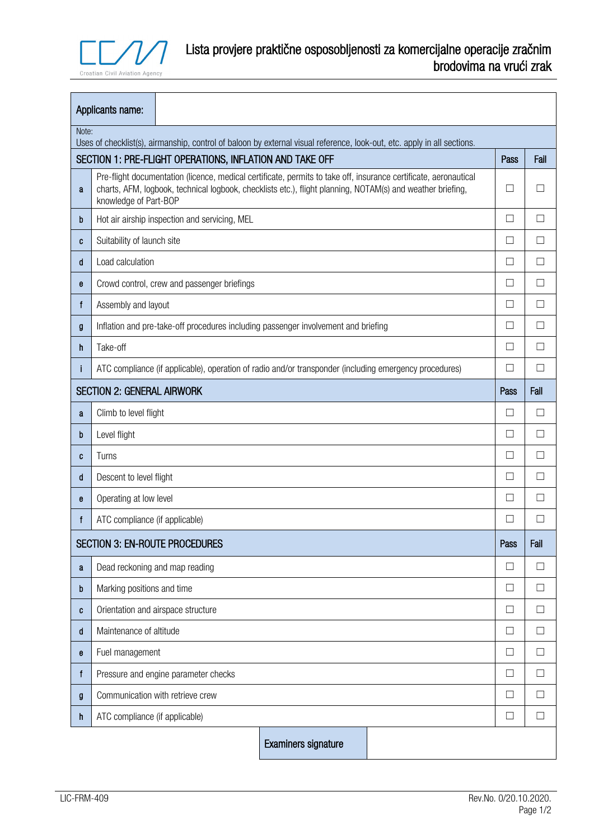

|                                                                                                                                  | Applicants name:                                                                                                                                                                                                                                        |  |                     |        |              |              |  |  |
|----------------------------------------------------------------------------------------------------------------------------------|---------------------------------------------------------------------------------------------------------------------------------------------------------------------------------------------------------------------------------------------------------|--|---------------------|--------|--------------|--------------|--|--|
| Note:<br>Uses of checklist(s), airmanship, control of baloon by external visual reference, look-out, etc. apply in all sections. |                                                                                                                                                                                                                                                         |  |                     |        |              |              |  |  |
| SECTION 1: PRE-FLIGHT OPERATIONS, INFLATION AND TAKE OFF<br>Pass                                                                 |                                                                                                                                                                                                                                                         |  |                     |        |              |              |  |  |
| a                                                                                                                                | Pre-flight documentation (licence, medical certificate, permits to take off, insurance certificate, aeronautical<br>charts, AFM, logbook, technical logbook, checklists etc.), flight planning, NOTAM(s) and weather briefing,<br>knowledge of Part-BOP |  |                     |        | □            |              |  |  |
| b                                                                                                                                | Hot air airship inspection and servicing, MEL                                                                                                                                                                                                           |  |                     | $\Box$ | П            |              |  |  |
| C                                                                                                                                | Suitability of launch site                                                                                                                                                                                                                              |  |                     |        | □            | $\mathbf{L}$ |  |  |
| d                                                                                                                                | Load calculation                                                                                                                                                                                                                                        |  |                     | □      | $\mathbf{L}$ |              |  |  |
| e                                                                                                                                | Crowd control, crew and passenger briefings                                                                                                                                                                                                             |  |                     |        |              | П            |  |  |
| f                                                                                                                                | Assembly and layout                                                                                                                                                                                                                                     |  |                     | П      | П            |              |  |  |
| g                                                                                                                                | Inflation and pre-take-off procedures including passenger involvement and briefing                                                                                                                                                                      |  |                     | $\Box$ | $\Box$       |              |  |  |
| h                                                                                                                                | Take-off                                                                                                                                                                                                                                                |  |                     | $\Box$ | П            |              |  |  |
| ı                                                                                                                                | ATC compliance (if applicable), operation of radio and/or transponder (including emergency procedures)                                                                                                                                                  |  |                     |        |              | П            |  |  |
|                                                                                                                                  | <b>SECTION 2: GENERAL AIRWORK</b>                                                                                                                                                                                                                       |  |                     |        | Pass         | Fail         |  |  |
| a                                                                                                                                | Climb to level flight                                                                                                                                                                                                                                   |  |                     | П      | $\mathbf{L}$ |              |  |  |
| b                                                                                                                                | Level flight                                                                                                                                                                                                                                            |  |                     | □      | $\mathbf{L}$ |              |  |  |
| C                                                                                                                                | Turns                                                                                                                                                                                                                                                   |  |                     | □      | $\mathbf{L}$ |              |  |  |
| d                                                                                                                                | Descent to level flight                                                                                                                                                                                                                                 |  |                     | □      | $\Box$       |              |  |  |
| e                                                                                                                                | Operating at low level                                                                                                                                                                                                                                  |  |                     | $\Box$ | $\mathbf{L}$ |              |  |  |
| f                                                                                                                                | ATC compliance (if applicable)                                                                                                                                                                                                                          |  |                     | $\Box$ | $\mathbf{I}$ |              |  |  |
| <b>SECTION 3: EN-ROUTE PROCEDURES</b>                                                                                            |                                                                                                                                                                                                                                                         |  | Pass                | Fail   |              |              |  |  |
| a                                                                                                                                | Dead reckoning and map reading                                                                                                                                                                                                                          |  |                     | □      | $\Box$       |              |  |  |
| b                                                                                                                                | Marking positions and time                                                                                                                                                                                                                              |  |                     | $\Box$ | $\Box$       |              |  |  |
| C                                                                                                                                | Orientation and airspace structure                                                                                                                                                                                                                      |  |                     |        |              | $\Box$       |  |  |
| d                                                                                                                                | Maintenance of altitude                                                                                                                                                                                                                                 |  |                     |        |              | $\Box$       |  |  |
| $\mathbf{e}$                                                                                                                     | Fuel management                                                                                                                                                                                                                                         |  |                     |        | $\Box$       | П            |  |  |
| f                                                                                                                                | Pressure and engine parameter checks                                                                                                                                                                                                                    |  |                     |        |              | Ш            |  |  |
| g                                                                                                                                | Communication with retrieve crew                                                                                                                                                                                                                        |  |                     |        | $\Box$       | $\Box$       |  |  |
| h                                                                                                                                | ATC compliance (if applicable)                                                                                                                                                                                                                          |  |                     | □      | $\Box$       |              |  |  |
|                                                                                                                                  |                                                                                                                                                                                                                                                         |  | Examiners signature |        |              |              |  |  |